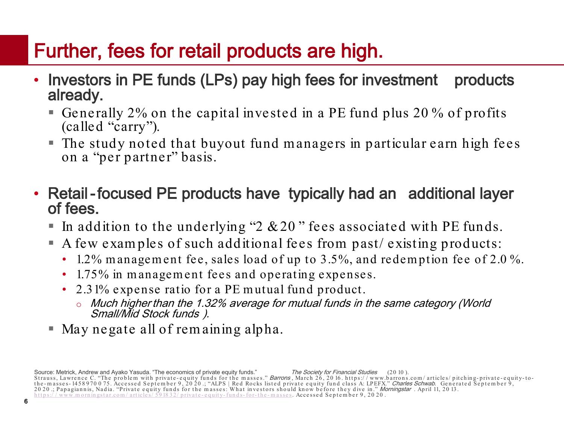## Further, fees for retail products are high.

- Investors in PE funds (LPs) pay high fees for investment products already.
	- Generally 2% on the capital invested in a PE fund plus 20 % of profits (called "carry").
	- The study noted that buyout fund managers in particular earn high fees ш on a "per partner" basis.
- Retail-focused PE products have typically had an additional layer of fees.
	- In addition to the underlying "2  $&20$ " fees associated with PE funds.
	- A few examples of such additional fees from past/existing products:
		- . 1.2% management fee, sales load of up to 3.5%, and redemption fee of 2.0  $\frac{0}{0}$
		- 1.75% in management fees and operating expenses.
		- 2.31% expense ratio for a PE mutual fund product.
			- $\circ$  Much higher than the 1.32% average for mutual funds in the same category (World Small/Mid Stock funds ).
	- May negate all of remaining alpha.

Source: Metrick, Andrew and Ayako Yasuda. "The economics of private equity funds." The Society for Financial Studies (2010).

Strauss, Lawrence C. "The problem with private equity funds for the masses." Barrons, March 26, 2016. https://www.barrons.com/articles/ pitching-private-equity-<br>to-the-masses-1458970075. Accessed September 9, 2020.; "ALPS https://www.morningstar.com/articles/591832/private-equity-funds-for-the-masses. Accessed September 9, 2020.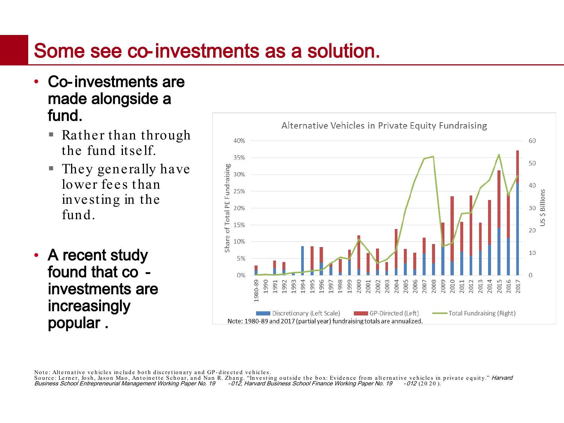## Some see co-investments as a solution.

- Co-investments are made alongside a fund.
	- **Rather than through** the fund itself.
	- $\blacksquare$  They generally have lower fees than investing in the fund.
- A recent study found that co -investments are increasingly popular.



Note: Alternative vehicles include both discretionary and GP-directed vehicles.

Source : Lerner, Josh, Jason Mao, Antoinette Schoar, and Nan R. Zhang. "Investing outside the box: Evidence from alternative vehicles in private equity." *Harvard*<br>*Business School Entrepreneurial Management Working Paper*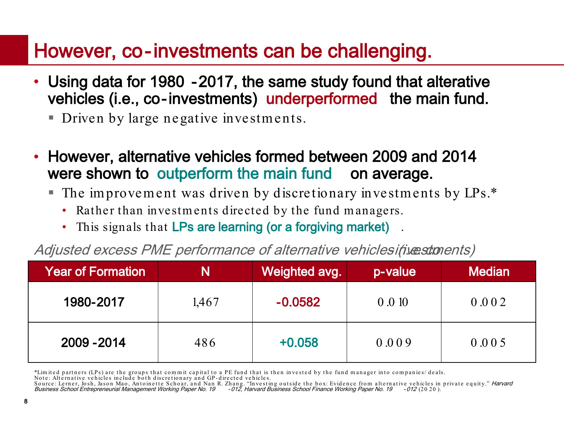### However, co-investments can be challenging.

- Using data for 1980-2017, the same study found that alterative vehicles (i.e., co-investments) underperformed the main fund.
	- Driven by large negative investments.
- However, alternative vehicles formed between 2009 and 2014 were shown to outperform the main fund on average.
	- The improvement was driven by discretionary investments by LPs.\*
		- Rather than investments directed by the fund managers.
		- This signals that LPs are learning (or a forgiving market).

#### Adjusted excess PME performance of alternative *vehicles (i.e. co-investments)*

| <b>Year of Formation</b> | N     | Weighted avg. | p-value | <b>Median</b> |
|--------------------------|-------|---------------|---------|---------------|
| 1980-2017                | 1,467 | $-0.0582$     | 0.010   | 0.002         |
| 2009 - 2014              | 486   | $+0.058$      | 0.009   | 0.005         |

<sup>\*</sup>Limited partners (LPs) are the groups that commit capital to a PE fund that is then invested by the fund manager into companies/ deals.<br>Note: Alternative vehicles include both discretionary and GP-directed vehicles.<br>Sourc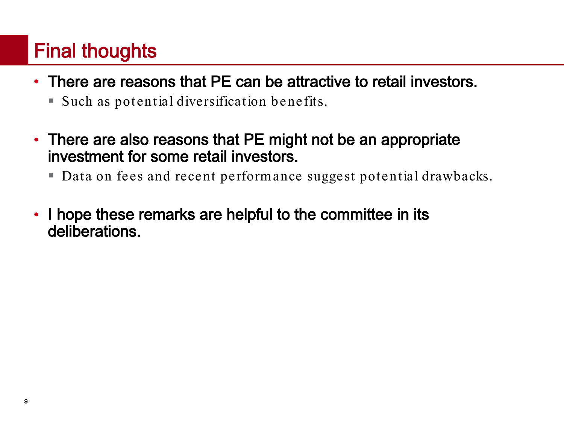# Final thoughts

- There are reasons that PE can be attractive to retail investors.
	- Such as potential diversification benefits.
- There are also reasons that PE might not be an appropriate investment for some retail investors.
	- Data on fees and recent perform ance suggest potential drawbacks.
- I hope these remarks are helpful to the committee in its deliberations.